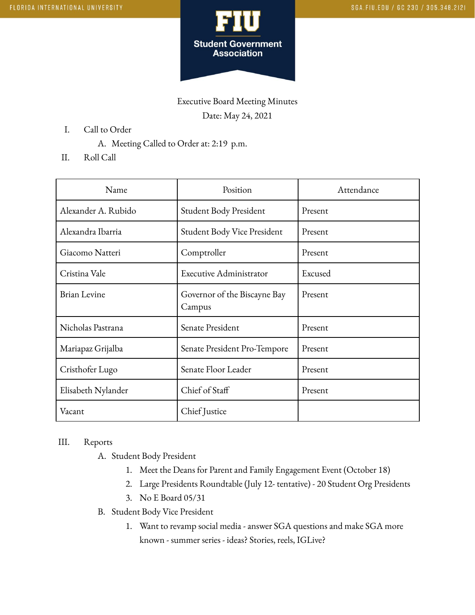

Executive Board Meeting Minutes Date: May 24, 2021

- I. Call to Order
	- A. Meeting Called to Order at: 2:19 p.m.
- II. Roll Call

| Name                | Position                               | Attendance |
|---------------------|----------------------------------------|------------|
| Alexander A. Rubido | Student Body President                 | Present    |
| Alexandra Ibarria   | Student Body Vice President            | Present    |
| Giacomo Natteri     | Comptroller                            | Present    |
| Cristina Vale       | Executive Administrator                | Excused    |
| <b>Brian Levine</b> | Governor of the Biscayne Bay<br>Campus | Present    |
| Nicholas Pastrana   | Senate President                       | Present    |
| Mariapaz Grijalba   | Senate President Pro-Tempore           | Present    |
| Cristhofer Lugo     | Senate Floor Leader                    | Present    |
| Elisabeth Nylander  | Chief of Staff                         | Present    |
| Vacant              | Chief Justice                          |            |

## III. Reports

- A. Student Body President
	- 1. Meet the Deans for Parent and Family Engagement Event (October 18)
	- 2. Large Presidents Roundtable (July 12- tentative) 20 Student Org Presidents
	- 3. No E Board 05/31
- B. Student Body Vice President
	- 1. Want to revamp social media answer SGA questions and make SGA more known - summer series - ideas? Stories, reels, IGLive?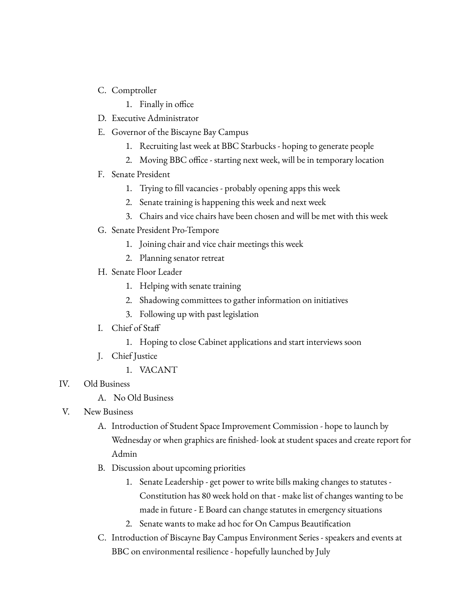- C. Comptroller
	- 1. Finally in office
- D. Executive Administrator
- E. Governor of the Biscayne Bay Campus
	- 1. Recruiting last week at BBC Starbucks hoping to generate people
	- 2. Moving BBC office starting next week, will be in temporary location
- F. Senate President
	- 1. Trying to fill vacancies probably opening apps this week
	- 2. Senate training is happening this week and next week
	- 3. Chairs and vice chairs have been chosen and will be met with this week
- G. Senate President Pro-Tempore
	- 1. Joining chair and vice chair meetings this week
	- 2. Planning senator retreat
- H. Senate Floor Leader
	- 1. Helping with senate training
	- 2. Shadowing committees to gather information on initiatives
	- 3. Following up with past legislation
- I. Chief of Staff
	- 1. Hoping to close Cabinet applications and start interviews soon
- J. Chief Justice
	- 1. VACANT
- IV. Old Business
	- A. No Old Business
- V. New Business
	- A. Introduction of Student Space Improvement Commission hope to launch by Wednesday or when graphics are finished- look at student spaces and create report for Admin
	- B. Discussion about upcoming priorities
		- 1. Senate Leadership get power to write bills making changes to statutes Constitution has 80 week hold on that - make list of changes wanting to be made in future - E Board can change statutes in emergency situations
		- 2. Senate wants to make ad hoc for On Campus Beautification
	- C. Introduction of Biscayne Bay Campus Environment Series speakers and events at BBC on environmental resilience - hopefully launched by July